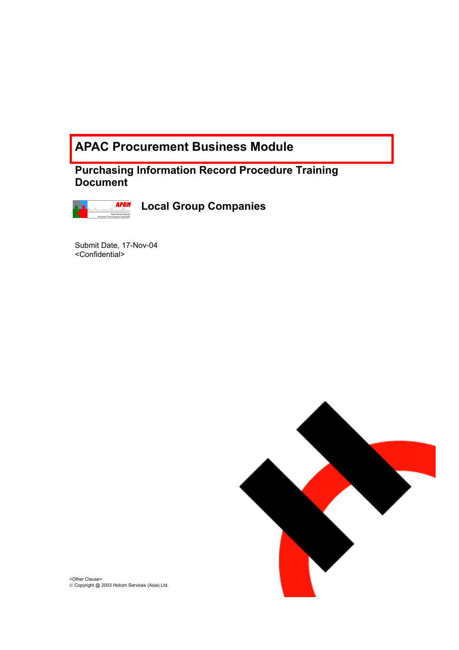# **APAC Procurement Business Module**

**Purchasing Information Record Procedure Training Document** 



**Local Group Companies** 

Submit Date, 17-Nov-04 <Confidential>



<Other Clause> Copyright @ 2003 Holcim Services (Asia) Ltd.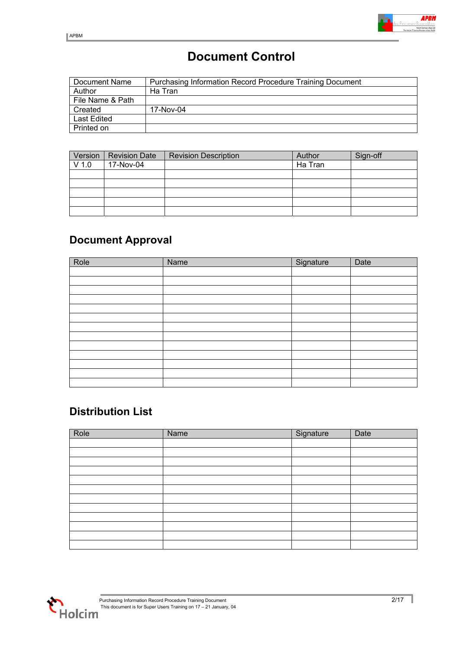# **Document Control**

| Document Name      | Purchasing Information Record Procedure Training Document |
|--------------------|-----------------------------------------------------------|
| Author             | Ha Tran                                                   |
| File Name & Path   |                                                           |
| Created            | 17-Nov-04                                                 |
| <b>Last Edited</b> |                                                           |
| Printed on         |                                                           |

| Version | <b>Revision Date</b> | <b>Revision Description</b> | Author  | Sign-off |
|---------|----------------------|-----------------------------|---------|----------|
| $V$ 1.0 | 17-Nov-04            |                             | Ha Tran |          |
|         |                      |                             |         |          |
|         |                      |                             |         |          |
|         |                      |                             |         |          |
|         |                      |                             |         |          |
|         |                      |                             |         |          |

# **Document Approval**

| Role | Name | Signature | Date |
|------|------|-----------|------|
|      |      |           |      |
|      |      |           |      |
|      |      |           |      |
|      |      |           |      |
|      |      |           |      |
|      |      |           |      |
|      |      |           |      |
|      |      |           |      |
|      |      |           |      |
|      |      |           |      |
|      |      |           |      |
|      |      |           |      |
|      |      |           |      |

# **Distribution List**

| Role | Name | Signature | Date |
|------|------|-----------|------|
|      |      |           |      |
|      |      |           |      |
|      |      |           |      |
|      |      |           |      |
|      |      |           |      |
|      |      |           |      |
|      |      |           |      |
|      |      |           |      |
|      |      |           |      |
|      |      |           |      |
|      |      |           |      |
|      |      |           |      |

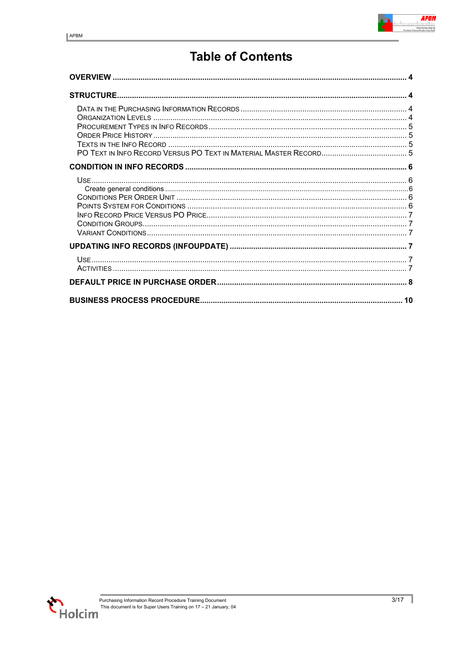# **Table of Contents**

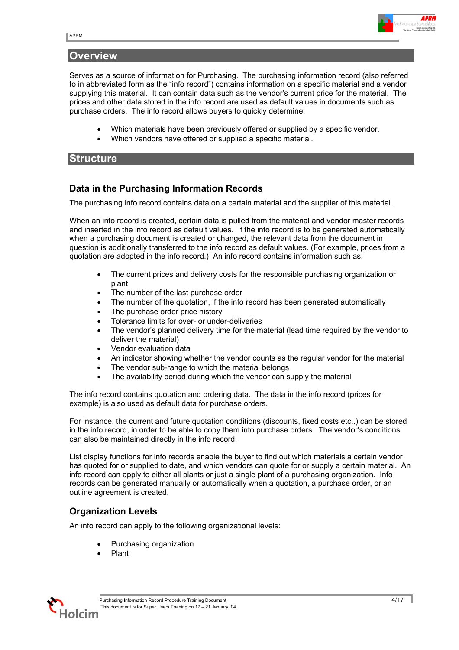# <span id="page-3-0"></span>**Overview**

Serves as a source of information for Purchasing. The purchasing information record (also referred to in abbreviated form as the "info record") contains information on a specific material and a vendor supplying this material. It can contain data such as the vendor's current price for the material. The prices and other data stored in the info record are used as default values in documents such as purchase orders. The info record allows buyers to quickly determine:

- Which materials have been previously offered or supplied by a specific vendor.
- Which vendors have offered or supplied a specific material.

### **Structure**

### **Data in the Purchasing Information Records**

The purchasing info record contains data on a certain material and the supplier of this material.

When an info record is created, certain data is pulled from the material and vendor master records and inserted in the info record as default values. If the info record is to be generated automatically when a purchasing document is created or changed, the relevant data from the document in question is additionally transferred to the info record as default values. (For example, prices from a quotation are adopted in the info record.) An info record contains information such as:

- The current prices and delivery costs for the responsible purchasing organization or plant
- The number of the last purchase order
- The number of the quotation, if the info record has been generated automatically
- The purchase order price history
- Tolerance limits for over- or under-deliveries
- The vendor's planned delivery time for the material (lead time required by the vendor to deliver the material)
- Vendor evaluation data
- An indicator showing whether the vendor counts as the regular vendor for the material
- The vendor sub-range to which the material belongs
- The availability period during which the vendor can supply the material

The info record contains quotation and ordering data. The data in the info record (prices for example) is also used as default data for purchase orders.

For instance, the current and future quotation conditions (discounts, fixed costs etc..) can be stored in the info record, in order to be able to copy them into purchase orders. The vendor's conditions can also be maintained directly in the info record.

List display functions for info records enable the buyer to find out which materials a certain vendor has quoted for or supplied to date, and which vendors can quote for or supply a certain material. An info record can apply to either all plants or just a single plant of a purchasing organization. Info records can be generated manually or automatically when a quotation, a purchase order, or an outline agreement is created.

# **Organization Levels**

An info record can apply to the following organizational levels:

- Purchasing organization
- Plant

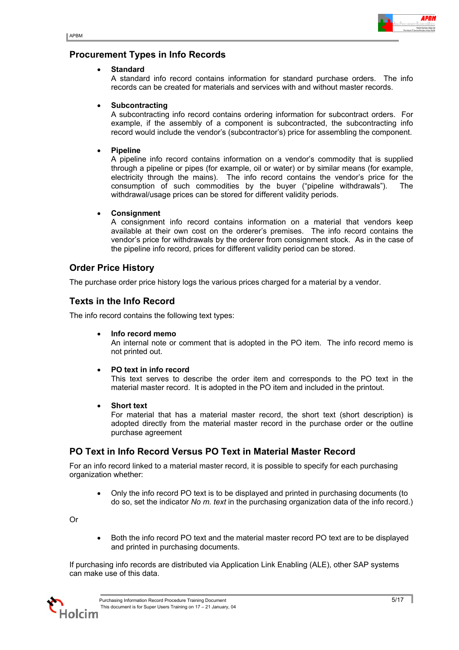

# <span id="page-4-0"></span>**Procurement Types in Info Records**

### • **Standard**

A standard info record contains information for standard purchase orders. The info records can be created for materials and services with and without master records.

### • **Subcontracting**

A subcontracting info record contains ordering information for subcontract orders. For example, if the assembly of a component is subcontracted, the subcontracting info record would include the vendor's (subcontractor's) price for assembling the component.

### • **Pipeline**

A pipeline info record contains information on a vendor's commodity that is supplied through a pipeline or pipes (for example, oil or water) or by similar means (for example, electricity through the mains). The info record contains the vendor's price for the consumption of such commodities by the buyer ("pipeline withdrawals"). The withdrawal/usage prices can be stored for different validity periods.

### • **Consignment**

A consignment info record contains information on a material that vendors keep available at their own cost on the orderer's premises. The info record contains the vendor's price for withdrawals by the orderer from consignment stock. As in the case of the pipeline info record, prices for different validity period can be stored.

### **Order Price History**

The purchase order price history logs the various prices charged for a material by a vendor.

# **Texts in the Info Record**

The info record contains the following text types:

### • **Info record memo**

An internal note or comment that is adopted in the PO item. The info record memo is not printed out.

### • **PO text in info record**

This text serves to describe the order item and corresponds to the PO text in the material master record. It is adopted in the PO item and included in the printout.

• **Short text** 

For material that has a material master record, the short text (short description) is adopted directly from the material master record in the purchase order or the outline purchase agreement

# **PO Text in Info Record Versus PO Text in Material Master Record**

For an info record linked to a material master record, it is possible to specify for each purchasing organization whether:

• Only the info record PO text is to be displayed and printed in purchasing documents (to do so, set the indicator *No m. text* in the purchasing organization data of the info record.)

Or

• Both the info record PO text and the material master record PO text are to be displayed and printed in purchasing documents.

If purchasing info records are distributed via Application Link Enabling (ALE), other SAP systems can make use of this data.

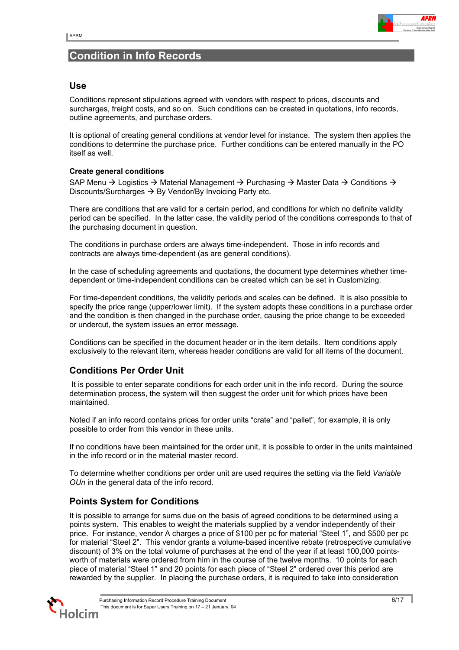

# <span id="page-5-0"></span>**Condition in Info Records**

### **Use**

Conditions represent stipulations agreed with vendors with respect to prices, discounts and surcharges, freight costs, and so on. Such conditions can be created in quotations, info records, outline agreements, and purchase orders.

It is optional of creating general conditions at vendor level for instance. The system then applies the conditions to determine the purchase price. Further conditions can be entered manually in the PO itself as well.

#### **Create general conditions**

SAP Menu  $\rightarrow$  Logistics  $\rightarrow$  Material Management  $\rightarrow$  Purchasing  $\rightarrow$  Master Data  $\rightarrow$  Conditions  $\rightarrow$ Discounts/Surcharges  $\rightarrow$  By Vendor/By Invoicing Party etc.

There are conditions that are valid for a certain period, and conditions for which no definite validity period can be specified. In the latter case, the validity period of the conditions corresponds to that of the purchasing document in question.

The conditions in purchase orders are always time-independent. Those in info records and contracts are always time-dependent (as are general conditions).

In the case of scheduling agreements and quotations, the document type determines whether timedependent or time-independent conditions can be created which can be set in Customizing.

For time-dependent conditions, the validity periods and scales can be defined. It is also possible to specify the price range (upper/lower limit). If the system adopts these conditions in a purchase order and the condition is then changed in the purchase order, causing the price change to be exceeded or undercut, the system issues an error message.

Conditions can be specified in the document header or in the item details. Item conditions apply exclusively to the relevant item, whereas header conditions are valid for all items of the document.

# **Conditions Per Order Unit**

 It is possible to enter separate conditions for each order unit in the info record. During the source determination process, the system will then suggest the order unit for which prices have been maintained.

Noted if an info record contains prices for order units "crate" and "pallet", for example, it is only possible to order from this vendor in these units.

If no conditions have been maintained for the order unit, it is possible to order in the units maintained in the info record or in the material master record.

To determine whether conditions per order unit are used requires the setting via the field *Variable OUn* in the general data of the info record.

# **Points System for Conditions**

It is possible to arrange for sums due on the basis of agreed conditions to be determined using a points system. This enables to weight the materials supplied by a vendor independently of their price. For instance, vendor A charges a price of \$100 per pc for material "Steel 1", and \$500 per pc for material "Steel 2". This vendor grants a volume-based incentive rebate (retrospective cumulative discount) of 3% on the total volume of purchases at the end of the year if at least 100,000 pointsworth of materials were ordered from him in the course of the twelve months. 10 points for each piece of material "Steel 1" and 20 points for each piece of "Steel 2" ordered over this period are rewarded by the supplier. In placing the purchase orders, it is required to take into consideration

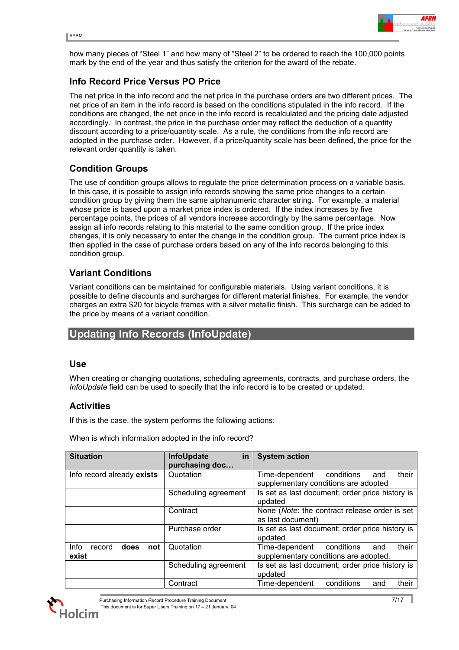

<span id="page-6-0"></span>how many pieces of "Steel 1" and how many of "Steel 2" to be ordered to reach the 100,000 points mark by the end of the year and thus satisfy the criterion for the award of the rebate.

# **Info Record Price Versus PO Price**

The net price in the info record and the net price in the purchase orders are two different prices. The net price of an item in the info record is based on the conditions stipulated in the info record. If the conditions are changed, the net price in the info record is recalculated and the pricing date adjusted accordingly. In contrast, the price in the purchase order may reflect the deduction of a quantity discount according to a price/quantity scale. As a rule, the conditions from the info record are adopted in the purchase order. However, if a price/quantity scale has been defined, the price for the relevant order quantity is taken.

# **Condition Groups**

The use of condition groups allows to regulate the price determination process on a variable basis. In this case, it is possible to assign info records showing the same price changes to a certain condition group by giving them the same alphanumeric character string. For example, a material whose price is based upon a market price index is ordered. If the index increases by five percentage points, the prices of all vendors increase accordingly by the same percentage. Now assign all info records relating to this material to the same condition group. If the price index changes, it is only necessary to enter the change in the condition group. The current price index is then applied in the case of purchase orders based on any of the info records belonging to this condition group.

# **Variant Conditions**

Variant conditions can be maintained for configurable materials. Using variant conditions, it is possible to define discounts and surcharges for different material finishes. For example, the vendor charges an extra \$20 for bicycle frames with a silver metallic finish. This surcharge can be added to the price by means of a variant condition.

# **Updating Info Records (InfoUpdate)**

### **Use**

When creating or changing quotations, scheduling agreements, contracts, and purchase orders, the *InfoUpdate* field can be used to specify that the info record is to be created or updated.

# **Activities**

If this is the case, the system performs the following actions:

When is which information adopted in the info record?

| <b>Situation</b>              | <b>InfoUpdate</b><br>in | <b>System action</b>                            |  |  |
|-------------------------------|-------------------------|-------------------------------------------------|--|--|
|                               | purchasing doc          |                                                 |  |  |
| Info record already exists    | Quotation               | Time-dependent conditions<br>their<br>and       |  |  |
|                               |                         | supplementary conditions are adopted            |  |  |
|                               | Scheduling agreement    | Is set as last document; order price history is |  |  |
|                               |                         | updated                                         |  |  |
|                               | Contract                | None (Note: the contract release order is set   |  |  |
|                               |                         | as last document)                               |  |  |
|                               | Purchase order          | Is set as last document; order price history is |  |  |
|                               |                         | updated                                         |  |  |
| Info<br>does<br>not<br>record | Quotation               | Time-dependent conditions<br>their<br>and       |  |  |
| exist                         |                         | supplementary conditions are adopted.           |  |  |
|                               | Scheduling agreement    | Is set as last document; order price history is |  |  |
|                               |                         | updated                                         |  |  |
|                               | Contract                | conditions<br>Time-dependent<br>their<br>and    |  |  |

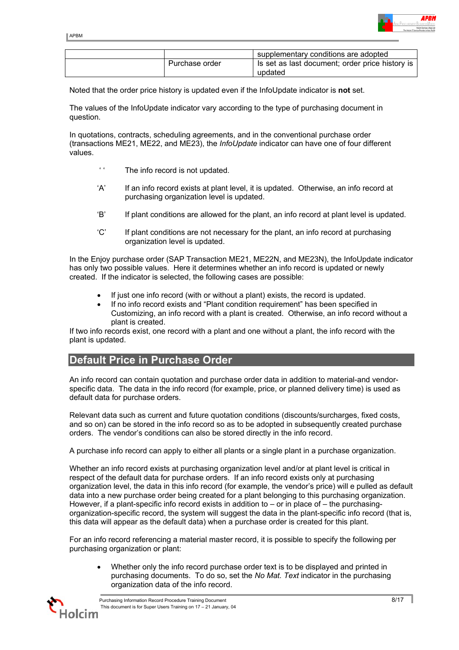

<span id="page-7-0"></span>

|                | supplementary conditions are adopted            |
|----------------|-------------------------------------------------|
| Purchase order | Is set as last document; order price history is |
|                | updated                                         |

Noted that the order price history is updated even if the InfoUpdate indicator is **not** set.

The values of the InfoUpdate indicator vary according to the type of purchasing document in question.

In quotations, contracts, scheduling agreements, and in the conventional purchase order (transactions ME21, ME22, and ME23), the *InfoUpdate* indicator can have one of four different values.

- ' ' The info record is not updated.
- 'A' If an info record exists at plant level, it is updated. Otherwise, an info record at purchasing organization level is updated.
- 'B' If plant conditions are allowed for the plant, an info record at plant level is updated.
- 'C' If plant conditions are not necessary for the plant, an info record at purchasing organization level is updated.

In the Enjoy purchase order (SAP Transaction ME21, ME22N, and ME23N), the InfoUpdate indicator has only two possible values. Here it determines whether an info record is updated or newly created. If the indicator is selected, the following cases are possible:

- If just one info record (with or without a plant) exists, the record is updated.
- If no info record exists and "Plant condition requirement" has been specified in Customizing, an info record with a plant is created. Otherwise, an info record without a plant is created.

If two info records exist, one record with a plant and one without a plant, the info record with the plant is updated.

# **Default Price in Purchase Order**

An info record can contain quotation and purchase order data in addition to material-and vendorspecific data. The data in the info record (for example, price, or planned delivery time) is used as default data for purchase orders.

Relevant data such as current and future quotation conditions (discounts/surcharges, fixed costs, and so on) can be stored in the info record so as to be adopted in subsequently created purchase orders. The vendor's conditions can also be stored directly in the info record.

A purchase info record can apply to either all plants or a single plant in a purchase organization.

Whether an info record exists at purchasing organization level and/or at plant level is critical in respect of the default data for purchase orders. If an info record exists only at purchasing organization level, the data in this info record (for example, the vendor's price) will e pulled as default data into a new purchase order being created for a plant belonging to this purchasing organization. However, if a plant-specific info record exists in addition to  $-$  or in place of  $-$  the purchasingorganization-specific record, the system will suggest the data in the plant-specific info record (that is, this data will appear as the default data) when a purchase order is created for this plant.

For an info record referencing a material master record, it is possible to specify the following per purchasing organization or plant:

• Whether only the info record purchase order text is to be displayed and printed in purchasing documents. To do so, set the *No Mat. Text* indicator in the purchasing organization data of the info record.

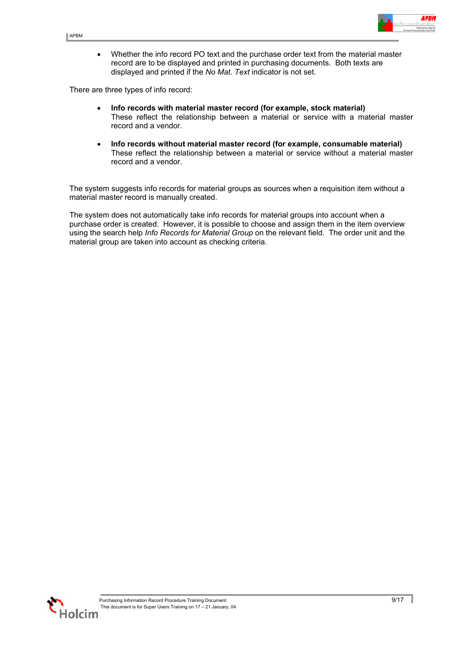• Whether the info record PO text and the purchase order text from the material master record are to be displayed and printed in purchasing documents. Both texts are displayed and printed if the *No Mat. Text* indicator is not set.

There are three types of info record:

- **Info records with material master record (for example, stock material)**  These reflect the relationship between a material or service with a material master record and a vendor.
- **Info records without material master record (for example, consumable material)**  These reflect the relationship between a material or service without a material master record and a vendor.

The system suggests info records for material groups as sources when a requisition item without a material master record is manually created.

The system does not automatically take info records for material groups into account when a purchase order is created. However, it is possible to choose and assign them in the item overview using the search help *Info Records for Material Group* on the relevant field. The order unit and the material group are taken into account as checking criteria.

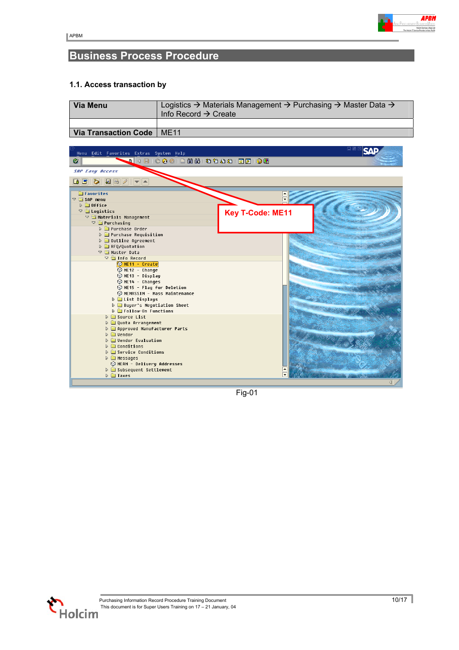

# <span id="page-9-0"></span>**Business Process Procedure**

### **1.1. Access transaction by**

| Via Menu                           | Logistics $\rightarrow$ Materials Management $\rightarrow$ Purchasing $\rightarrow$ Master Data $\rightarrow$<br>Info Record $\rightarrow$ Create |
|------------------------------------|---------------------------------------------------------------------------------------------------------------------------------------------------|
|                                    |                                                                                                                                                   |
| <b>Via Transaction Code   ME11</b> |                                                                                                                                                   |



Fig-01

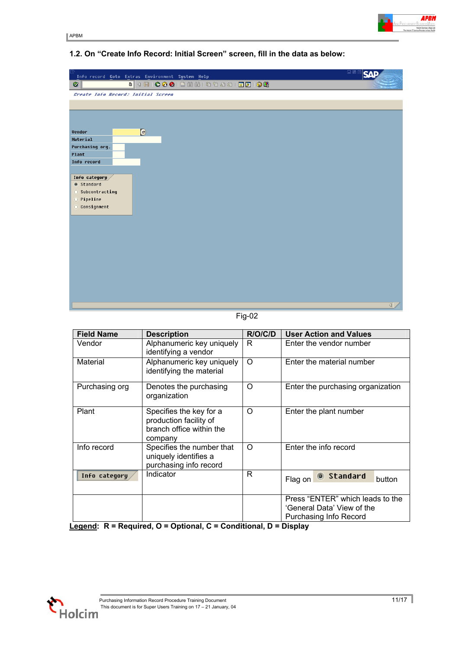

# **1.2. On "Create Info Record: Initial Screen" screen, fill in the data as below:**

| lg<br>Info record Goto Extras Environment System Help                                            | 日回区              |
|--------------------------------------------------------------------------------------------------|------------------|
| $\bullet$                                                                                        |                  |
| Create Info Record: Initial Screen                                                               |                  |
|                                                                                                  |                  |
|                                                                                                  |                  |
|                                                                                                  |                  |
| $\Theta$<br><b>Vendor</b>                                                                        |                  |
| Material                                                                                         |                  |
| Purchasing org.                                                                                  |                  |
| Plant                                                                                            |                  |
| Info record                                                                                      |                  |
| Info category<br>@ Standard<br>◯ Subcontracting<br>$\bigcirc$ Pipeline<br>$\bigcirc$ Consignment |                  |
|                                                                                                  | $\left  \right $ |

Fig-02

| <b>Field Name</b> | <b>Description</b>                                                                       | R/O/C/D  | <b>User Action and Values</b>                                                                   |
|-------------------|------------------------------------------------------------------------------------------|----------|-------------------------------------------------------------------------------------------------|
| Vendor            | Alphanumeric key uniquely<br>identifying a vendor                                        | R.       | Enter the vendor number                                                                         |
| Material          | Alphanumeric key uniquely<br>identifying the material                                    | $\Omega$ | Enter the material number                                                                       |
| Purchasing org    | Denotes the purchasing<br>organization                                                   | O        | Enter the purchasing organization                                                               |
| Plant             | Specifies the key for a<br>production facility of<br>branch office within the<br>company | $\Omega$ | Enter the plant number                                                                          |
| Info record       | Specifies the number that<br>uniquely identifies a<br>purchasing info record             | $\Omega$ | Enter the info record                                                                           |
| Info category     | Indicator                                                                                | R        | Standard<br>Flag on<br>button                                                                   |
|                   |                                                                                          |          | Press "ENTER" which leads to the<br>'General Data' View of the<br><b>Purchasing Info Record</b> |

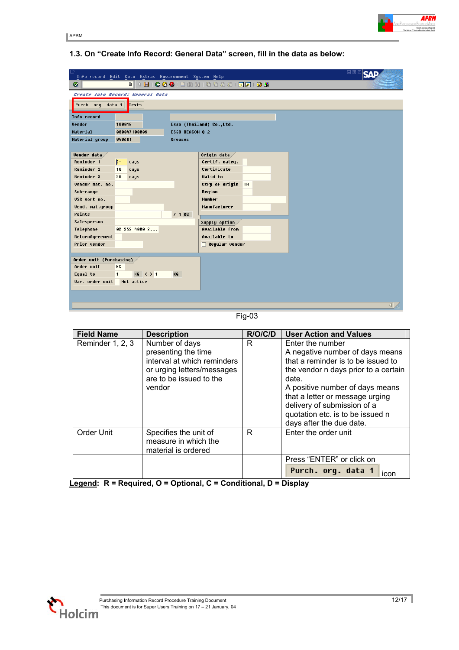

### **1.3. On "Create Info Record: General Data" screen, fill in the data as below:**

| ē<br>口回<br>Info record Edit Goto Extras Environment System Help |                |                                                                       |                 |                          |                          |
|-----------------------------------------------------------------|----------------|-----------------------------------------------------------------------|-----------------|--------------------------|--------------------------|
| Ø                                                               |                |                                                                       |                 |                          |                          |
| Create Info Record: General Data                                |                |                                                                       |                 |                          |                          |
| Purch. org. data 1 Texts                                        |                |                                                                       |                 |                          |                          |
| Info record                                                     |                |                                                                       |                 |                          |                          |
| <b>Vendor</b>                                                   | 100018         |                                                                       |                 | Esso (Thailand) Co.,Ltd. |                          |
| Material                                                        |                | 000047100006                                                          | ESSO BEACON Q-2 |                          |                          |
| Material group                                                  | 848681         |                                                                       | Greases         |                          |                          |
|                                                                 |                |                                                                       |                 |                          |                          |
| <b>Vendor</b> data                                              |                |                                                                       |                 | Origin data $\times$     |                          |
| Reminder 1                                                      | $5-$           | days                                                                  |                 | Certif. cateq.           |                          |
| <b>Reminder 2</b>                                               | 18             | days                                                                  |                 | Certificate              |                          |
| <b>Reminder 3</b>                                               | 20             | days                                                                  |                 | <b>Valid</b> to          |                          |
| Vendor mat. no.                                                 |                |                                                                       |                 | Ctry of origin TH        |                          |
| Sub-range                                                       |                |                                                                       |                 | Region                   |                          |
| USR sort no.                                                    |                |                                                                       |                 | <b>Number</b>            |                          |
| <b>Vend. mat.group</b>                                          |                |                                                                       |                 | Manufacturer             |                          |
| Points                                                          |                |                                                                       | $/1$ KG         |                          |                          |
| Salesperson                                                     |                |                                                                       |                 | Supply option            |                          |
| Telephone                                                       |                | $02 - 262 - 40002$                                                    |                 | Available from           |                          |
| ReturnAgreement                                                 |                |                                                                       |                 | Available to             |                          |
| Prior vendor                                                    |                |                                                                       |                 | $\Box$ Reqular vendor    |                          |
|                                                                 |                |                                                                       |                 |                          |                          |
| Order unit (Purchasing)<br>Order unit                           | KG             |                                                                       |                 |                          |                          |
| Equal to                                                        | $\blacksquare$ | KG <rightarrow 1<="" th=""><th>KG</th><th></th><th></th></rightarrow> | KG              |                          |                          |
| <b>Var.</b> order unit                                          |                | Not active                                                            |                 |                          |                          |
|                                                                 |                |                                                                       |                 |                          |                          |
|                                                                 |                |                                                                       |                 |                          |                          |
|                                                                 |                |                                                                       |                 |                          | $\overline{\mathcal{A}}$ |
|                                                                 |                |                                                                       |                 |                          |                          |

Fig-03

| <b>Field Name</b> | <b>Description</b>          | R/O/C/D | <b>User Action and Values</b>        |
|-------------------|-----------------------------|---------|--------------------------------------|
| Reminder 1, 2, 3  | Number of days              | R       | Enter the number                     |
|                   | presenting the time         |         | A negative number of days means      |
|                   | interval at which reminders |         | that a reminder is to be issued to   |
|                   | or urging letters/messages  |         | the vendor n days prior to a certain |
|                   | are to be issued to the     |         | date.                                |
|                   | vendor                      |         | A positive number of days means      |
|                   |                             |         | that a letter or message urging      |
|                   |                             |         | delivery of submission of a          |
|                   |                             |         | quotation etc. is to be issued n     |
|                   |                             |         | days after the due date.             |
| Order Unit        | Specifies the unit of       | R       | Enter the order unit                 |
|                   | measure in which the        |         |                                      |
|                   | material is ordered         |         |                                      |
|                   |                             |         | Press "ENTER" or click on            |
|                   |                             |         | Purch. orq. data 1<br>icon           |

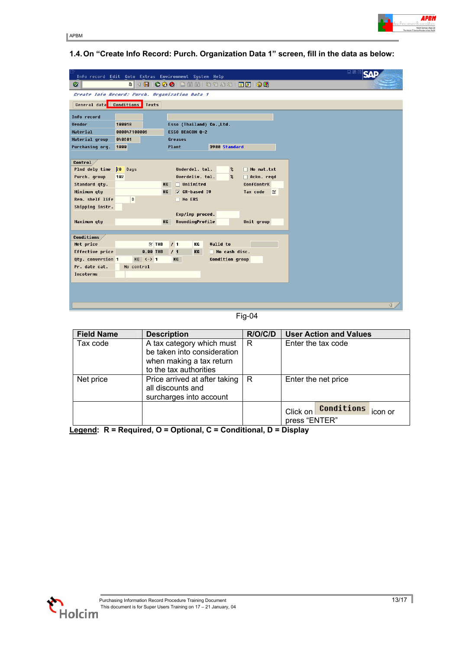

|                               | 니티<br>Info record Edit Goto Extras Environment System Help |                 |           |                                   |                 |                       |                            |  |   |  |
|-------------------------------|------------------------------------------------------------|-----------------|-----------|-----------------------------------|-----------------|-----------------------|----------------------------|--|---|--|
| Ø                             |                                                            |                 |           |                                   |                 |                       |                            |  |   |  |
|                               | Create Info Record: Purch. Organization Data 1             |                 |           |                                   |                 |                       |                            |  |   |  |
| General data Conditions Texts |                                                            |                 |           |                                   |                 |                       |                            |  |   |  |
|                               |                                                            |                 |           |                                   |                 |                       |                            |  |   |  |
| Info record                   |                                                            |                 |           |                                   |                 |                       |                            |  |   |  |
| <b>Vendor</b>                 | 100018                                                     |                 |           | Esso (Thailand) Co.,Ltd.          |                 |                       |                            |  |   |  |
| Material                      | 000047100006                                               |                 |           | <b>ESSO BEACON Q-2</b>            |                 |                       |                            |  |   |  |
| Material group                | 848681                                                     |                 |           | Greases                           |                 |                       |                            |  |   |  |
| Purchasing org.               | 1000                                                       |                 |           | Plant                             |                 | 3900 Standard         |                            |  |   |  |
|                               |                                                            |                 |           |                                   |                 |                       |                            |  |   |  |
| Control                       | <b>be</b>                                                  |                 |           |                                   |                 |                       |                            |  |   |  |
| Plnd dely time                | Days<br>102                                                |                 |           | Underdel. tol.<br>Overdeliv. tol. |                 | %<br>$\boldsymbol{z}$ | □ No mat.txt               |  |   |  |
| Purch. group<br>Standard qty. |                                                            |                 | KG        | $\Box$ Unlimited                  |                 |                       | □ Ackn. regd<br>ConfContrK |  |   |  |
| Minimum qty                   |                                                            |                 | <b>KG</b> | <b>▽ GR-based IV</b>              |                 |                       | <b>Tax code</b><br>K       |  |   |  |
| Rem. shelf life               | D                                                          |                 |           | $\Box$ No ERS                     |                 |                       |                            |  |   |  |
| Shipping instr.               |                                                            |                 |           |                                   |                 |                       |                            |  |   |  |
|                               |                                                            |                 |           | Exp/imp proced.                   |                 |                       |                            |  |   |  |
| Maximum qty                   |                                                            |                 | KG        | RoundingProfile                   |                 |                       | Unit group                 |  |   |  |
|                               |                                                            |                 |           |                                   |                 |                       |                            |  |   |  |
| Conditions                    |                                                            |                 |           |                                   |                 |                       |                            |  |   |  |
| Net price                     |                                                            | $\boxtimes$ THB |           | /1<br>KG                          | <b>Valid</b> to |                       |                            |  |   |  |
| Effective price               |                                                            | 0.00 THB        |           | /1<br>KG                          |                 | $\Box$ No cash disc.  |                            |  |   |  |
| Qty. conversion 1             |                                                            | $KG < - > 1$    |           | KG                                |                 | Condition group       |                            |  |   |  |
| Pr. date cat.                 | No control                                                 |                 |           |                                   |                 |                       |                            |  |   |  |
| Incoterms                     |                                                            |                 |           |                                   |                 |                       |                            |  |   |  |
|                               |                                                            |                 |           |                                   |                 |                       |                            |  |   |  |
|                               |                                                            |                 |           |                                   |                 |                       |                            |  |   |  |
|                               |                                                            |                 |           |                                   |                 |                       |                            |  |   |  |
|                               |                                                            |                 |           |                                   |                 |                       |                            |  | ◁ |  |

Fig-04

| <b>Field Name</b> | <b>Description</b>                                                                                             | R/O/C/D | <b>User Action and Values</b>                      |
|-------------------|----------------------------------------------------------------------------------------------------------------|---------|----------------------------------------------------|
| Tax code          | A tax category which must<br>be taken into consideration<br>when making a tax return<br>to the tax authorities | R.      | Enter the tax code                                 |
| Net price         | Price arrived at after taking<br>all discounts and<br>surcharges into account                                  | R       | Enter the net price                                |
|                   |                                                                                                                |         | Conditions<br>Click on<br>icon or<br>press "ENTER" |



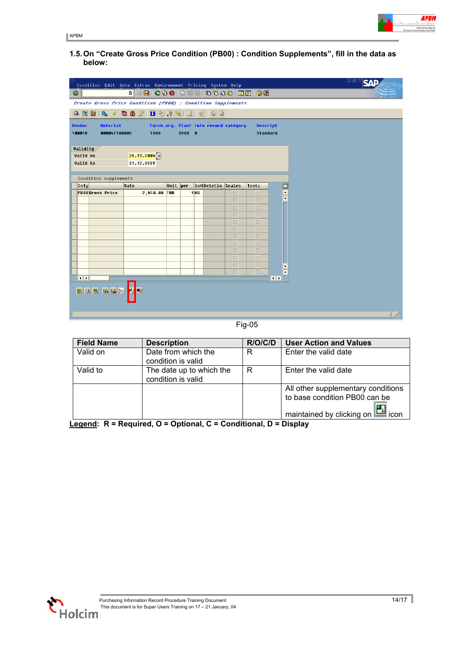**1.5. On "Create Gross Price Condition (PB00) : Condition Supplements", fill in the data as below:**

| Ø         |                                                                                                                                        |                        | Condition Edit Goto Extras Environment Pricing System Help<br>. 4 9 6 6 6 1 2 4 5 6 6 7 8 9 8 9 8 9 8 |          |  |                 |                          |        |                  |                                              | 口圆 |
|-----------|----------------------------------------------------------------------------------------------------------------------------------------|------------------------|-------------------------------------------------------------------------------------------------------|----------|--|-----------------|--------------------------|--------|------------------|----------------------------------------------|----|
|           |                                                                                                                                        |                        | Create Gross Price Condition (PB88) : Condition Supplements                                           |          |  |                 |                          |        |                  |                                              |    |
|           | <b>Vendor</b><br>Material<br>Purch.org. Plant Info record category<br>Descript<br>3900 0<br>Standard<br>100018<br>000047100006<br>1000 |                        |                                                                                                       |          |  |                 |                          |        |                  |                                              |    |
|           | <b>Validity</b><br><b>Valid</b> on<br><b>Valid</b> to                                                                                  |                        | $26.11.2884$ $\circ$<br>31.12.9999                                                                    |          |  |                 |                          |        |                  |                                              |    |
| cnTy      |                                                                                                                                        | Condition supplements  | Rate                                                                                                  | Unit per |  |                 | <b>UoMDeletio</b> Scales |        | <b>Texts</b>     | T                                            |    |
|           |                                                                                                                                        | <b>PB00Gross Price</b> | 2,450.00 THB                                                                                          |          |  | 1 <sub>KG</sub> |                          | П      | $\Box$           |                                              |    |
|           |                                                                                                                                        |                        |                                                                                                       |          |  |                 |                          | $\Box$ | $\Box$           | $\frac{1}{\sqrt{2}}$                         |    |
|           |                                                                                                                                        |                        |                                                                                                       |          |  |                 |                          | $\Box$ | $\Box$           |                                              |    |
|           |                                                                                                                                        |                        |                                                                                                       |          |  |                 |                          | П      | $\Box$           |                                              |    |
|           |                                                                                                                                        |                        |                                                                                                       |          |  |                 |                          | П      | $\Box$           |                                              |    |
|           |                                                                                                                                        |                        |                                                                                                       |          |  |                 |                          | П      | $\Box$           |                                              |    |
|           |                                                                                                                                        |                        |                                                                                                       |          |  |                 |                          | $\Box$ | $\Box$           |                                              |    |
|           |                                                                                                                                        |                        |                                                                                                       |          |  |                 |                          | П      | $\Box$           |                                              |    |
|           |                                                                                                                                        |                        |                                                                                                       |          |  |                 |                          | П<br>П | $\Box$<br>$\Box$ |                                              |    |
|           |                                                                                                                                        |                        |                                                                                                       |          |  |                 |                          | $\Box$ | $\Box$           |                                              |    |
|           |                                                                                                                                        |                        |                                                                                                       |          |  |                 |                          | $\Box$ | $\Box$           | $\blacktriangle$<br>$\overline{\phantom{0}}$ |    |
| $\n  1\n$ |                                                                                                                                        |                        |                                                                                                       |          |  |                 |                          |        |                  | $\overline{\mathbf{1}}$                      |    |
|           | <b>BEE</b>                                                                                                                             | 因日的                    | Ø<br>E                                                                                                |          |  |                 |                          |        |                  |                                              |    |

Fig-05

| <b>Field Name</b> | <b>Description</b>                             | R/O/C/D | <b>User Action and Values</b>                                       |
|-------------------|------------------------------------------------|---------|---------------------------------------------------------------------|
| Valid on          | Date from which the<br>condition is valid      | R       | Enter the valid date                                                |
| Valid to          | The date up to which the<br>condition is valid | R       | Enter the valid date                                                |
|                   |                                                |         | All other supplementary conditions<br>to base condition PB00 can be |
|                   |                                                |         | ' <mark>ਦ</mark> ੂ icon<br>maintained by clicking on                |

**Legend: R = Required, O = Optional, C = Conditional, D = Display**



**APBM**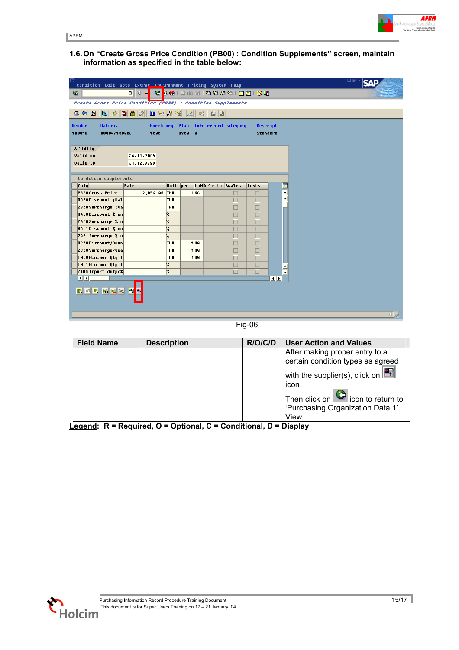

APBM

**1.6. On "Create Gross Price Condition (PB00) : Condition Supplements" screen, maintain information as specified in the table below:**

| Condition Edit Goto Extras Enuironment Pricing System Help                                           |                 |                              |                                       |             |                  |                         | 口画 |                  |
|------------------------------------------------------------------------------------------------------|-----------------|------------------------------|---------------------------------------|-------------|------------------|-------------------------|----|------------------|
| Ø<br>画                                                                                               |                 |                              |                                       |             |                  |                         |    |                  |
| KRIICI DIGILININI XOLOLINININININININ<br>Create Gross Price Condition (PB00) : Condition Supplements |                 |                              |                                       |             |                  |                         |    |                  |
|                                                                                                      |                 |                              |                                       |             |                  |                         |    |                  |
| 西串区<br>8381<br>B P                                                                                   |                 |                              |                                       |             |                  |                         |    |                  |
| Material<br><b>Vendor</b>                                                                            |                 |                              | Purch.org. Plant Info record category |             | Descript         |                         |    |                  |
| 100018<br>000047100006<br>1000                                                                       |                 | 3988 0                       |                                       |             | Standard         |                         |    |                  |
|                                                                                                      |                 |                              |                                       |             |                  |                         |    |                  |
| <b>Validity</b>                                                                                      |                 |                              |                                       |             |                  |                         |    |                  |
| Valid on<br>26.11.2004                                                                               |                 |                              |                                       |             |                  |                         |    |                  |
| <b>Valid</b> to<br>31.12.9999                                                                        |                 |                              |                                       |             |                  |                         |    |                  |
| Condition supplements                                                                                |                 |                              |                                       |             |                  |                         |    |                  |
| CnTy<br>Rate                                                                                         | Unit per        |                              | <b>UoMDeletio</b> Scales              |             | <b>Texts</b>     |                         |    |                  |
| <b>PB00Gross Price</b><br>2,450.00                                                                   | THB             | 1 <sub>KG</sub>              |                                       | $\Box$      | $\Box$           | ii ee                   |    |                  |
| <b>RB00Discount (Val</b>                                                                             | <b>THB</b>      |                              |                                       | П           | $\Box$           |                         |    |                  |
| ZB00Surcharge (Val                                                                                   | <b>THB</b>      |                              |                                       | $\Box$      | $\Box$           |                         |    |                  |
| <b>RA00Discount % on</b>                                                                             | %               |                              |                                       | П           | $\Box$           |                         |    |                  |
| ZA00Surcharge % of                                                                                   | %               |                              |                                       | П           | $\Box$           |                         |    |                  |
| <b>RA01Discount % on</b>                                                                             | ę.              |                              |                                       | П           | $\Box$           |                         |    |                  |
| ZA01 Surcharge % of                                                                                  | 2               |                              |                                       | $\Box$      | $\Box$           |                         |    |                  |
| <b>RC00Discount/Quan</b>                                                                             | <b>THB</b>      | 1KG                          |                                       | П           | $\Box$           |                         |    |                  |
| ZC00Surcharge/Qual                                                                                   | THB             | 1 <sub>KG</sub>              |                                       | П           | $\Box$           |                         |    |                  |
| MM00Minimum Qtu (i<br>MM01 Minimum Qty (                                                             | <b>THB</b><br>2 | $1$ <sub>K<sup>G</sup></sub> |                                       | П           | П                |                         |    |                  |
| <b>ZIOAImport duty(%</b>                                                                             | $\frac{1}{2}$   |                              |                                       | $\Box$<br>П | $\Box$<br>$\Box$ | $\frac{1}{\sqrt{2}}$    |    |                  |
| $\overline{\mathbf{1}}$                                                                              |                 |                              |                                       |             |                  | $\overline{\mathbf{1}}$ |    |                  |
| <b>EBBBB</b><br>團                                                                                    |                 |                              |                                       |             |                  |                         |    |                  |
|                                                                                                      |                 |                              |                                       |             |                  |                         |    | $\left  \right $ |

Fig-06

| <b>Field Name</b> | <b>Description</b> | R/O/C/D | <b>User Action and Values</b>                                                          |
|-------------------|--------------------|---------|----------------------------------------------------------------------------------------|
|                   |                    |         | After making proper entry to a                                                         |
|                   |                    |         | certain condition types as agreed                                                      |
|                   |                    |         | with the supplier(s), click on $\boxed{\mathbb{F}$                                     |
|                   |                    |         | icon                                                                                   |
|                   |                    |         | Then click on $\bigcirc$ icon to return to<br>'Purchasing Organization Data 1'<br>View |

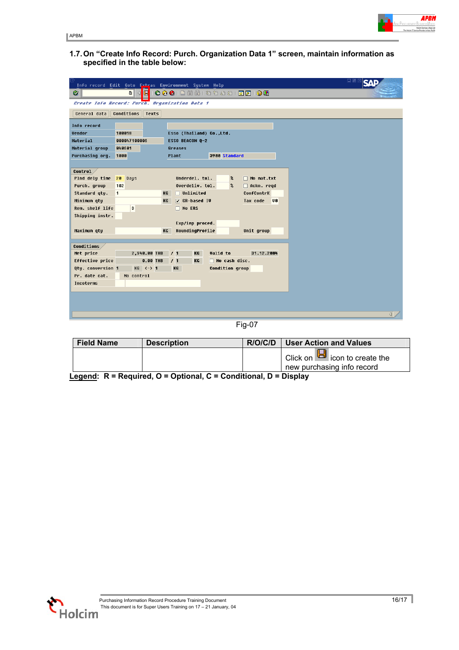

APBM

**1.7. On "Create Info Record: Purch. Organization Data 1" screen, maintain information as specified in the table below:**

|                                |                                                | Info record Edit Goto Extras Environment System Help         | 口画 |
|--------------------------------|------------------------------------------------|--------------------------------------------------------------|----|
| Ø                              | 画                                              | 4 8 8 8 8 8 8 8 8 9 9 8 8 8 8 8 8 8 8 8                      |    |
|                                | Create Info Record: Purch. Organization Data 1 |                                                              |    |
| General data                   | Conditions<br><b>Texts</b>                     |                                                              |    |
| Info record                    |                                                |                                                              |    |
| <b>Vendor</b>                  | 100018                                         | Esso (Thailand) Co.,Ltd.                                     |    |
| Material                       | 888847188886                                   | ESSO BEACON Q-2                                              |    |
| Material group                 | 848681                                         | Greases                                                      |    |
| Purchasing org.                | 1000                                           | 3900 Standard<br>Plant                                       |    |
|                                |                                                |                                                              |    |
| Control                        |                                                |                                                              |    |
| Plnd dely time 20 Days         |                                                | Underdel. tol.<br>□ No mat.txt<br>$\boldsymbol{\mathcal{z}}$ |    |
| Purch. group                   | 102                                            | Overdeliv. tol.<br>$\boldsymbol{\mathcal{Z}}$<br>Ackn. regd  |    |
| Standard qty.                  | $\blacksquare$                                 | KG<br>$\Box$ Unlimited<br>ConfContrK                         |    |
| Minimum qtu                    |                                                | $\sqrt{}$ GR-based IV<br><b>UB</b><br>Tax code<br>KG         |    |
| Rem. shelf life                | D                                              | $\Box$ No ERS                                                |    |
| Shipping instr.                |                                                |                                                              |    |
|                                |                                                | Exp/imp proced.                                              |    |
| Maximum qty                    |                                                | RoundingProfile<br>Unit group<br><b>KG</b>                   |    |
|                                |                                                |                                                              |    |
| <b>Conditions</b><br>Net price | 2,940.00 THB                                   | <b>Valid</b> to<br>/1<br>KG<br>31.12.2004                    |    |
| Effective price                | <b>0.00 THB</b>                                | 11<br>KG<br>$\Box$ No cash disc.                             |    |
| Qty. conversion 1              | $KG < - > 1$                                   | Condition group<br>KG                                        |    |
| Pr. date cat.                  | No control                                     |                                                              |    |
| Incoterms                      |                                                |                                                              |    |
|                                |                                                |                                                              |    |
|                                |                                                |                                                              |    |
|                                |                                                |                                                              |    |
|                                |                                                |                                                              |    |

Fig-07

| <b>Field Name</b> | <b>Description</b> | R/O/C/D | User Action and Values             |
|-------------------|--------------------|---------|------------------------------------|
|                   |                    |         | Click on $\Box$ icon to create the |
|                   |                    |         | new purchasing info record         |